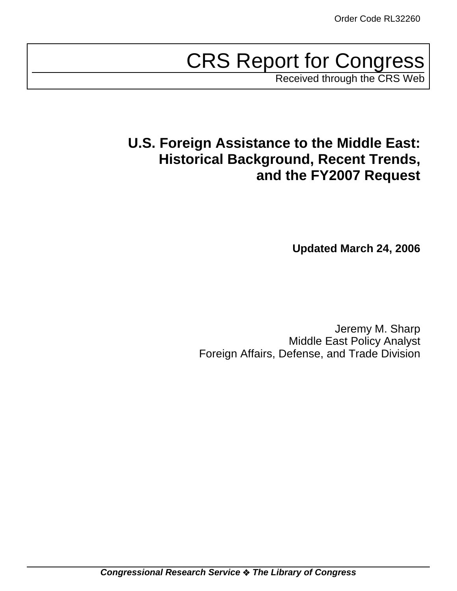# CRS Report for Congress

Received through the CRS Web

# **U.S. Foreign Assistance to the Middle East: Historical Background, Recent Trends, and the FY2007 Request**

**Updated March 24, 2006**

Jeremy M. Sharp Middle East Policy Analyst Foreign Affairs, Defense, and Trade Division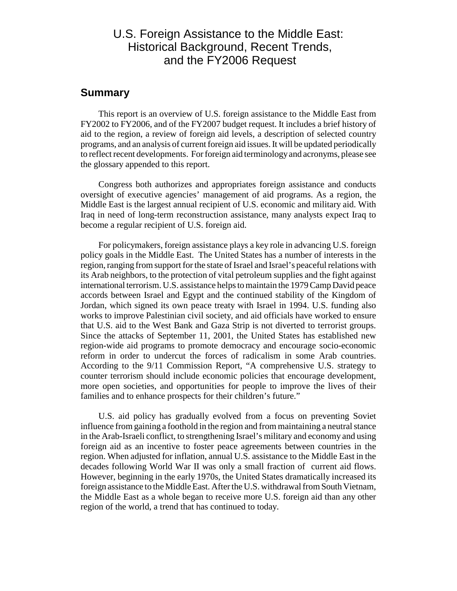### U.S. Foreign Assistance to the Middle East: Historical Background, Recent Trends, and the FY2006 Request

#### **Summary**

This report is an overview of U.S. foreign assistance to the Middle East from FY2002 to FY2006, and of the FY2007 budget request. It includes a brief history of aid to the region, a review of foreign aid levels, a description of selected country programs, and an analysis of current foreign aid issues. It will be updated periodically to reflect recent developments. For foreign aid terminology and acronyms, please see the glossary appended to this report.

Congress both authorizes and appropriates foreign assistance and conducts oversight of executive agencies' management of aid programs. As a region, the Middle East is the largest annual recipient of U.S. economic and military aid. With Iraq in need of long-term reconstruction assistance, many analysts expect Iraq to become a regular recipient of U.S. foreign aid.

For policymakers, foreign assistance plays a key role in advancing U.S. foreign policy goals in the Middle East. The United States has a number of interests in the region, ranging from support for the state of Israel and Israel's peaceful relations with its Arab neighbors, to the protection of vital petroleum supplies and the fight against international terrorism. U.S. assistance helps to maintain the 1979 Camp David peace accords between Israel and Egypt and the continued stability of the Kingdom of Jordan, which signed its own peace treaty with Israel in 1994. U.S. funding also works to improve Palestinian civil society, and aid officials have worked to ensure that U.S. aid to the West Bank and Gaza Strip is not diverted to terrorist groups. Since the attacks of September 11, 2001, the United States has established new region-wide aid programs to promote democracy and encourage socio-economic reform in order to undercut the forces of radicalism in some Arab countries. According to the 9/11 Commission Report, "A comprehensive U.S. strategy to counter terrorism should include economic policies that encourage development, more open societies, and opportunities for people to improve the lives of their families and to enhance prospects for their children's future."

U.S. aid policy has gradually evolved from a focus on preventing Soviet influence from gaining a foothold in the region and from maintaining a neutral stance in the Arab-Israeli conflict, to strengthening Israel's military and economy and using foreign aid as an incentive to foster peace agreements between countries in the region. When adjusted for inflation, annual U.S. assistance to the Middle East in the decades following World War II was only a small fraction of current aid flows. However, beginning in the early 1970s, the United States dramatically increased its foreign assistance to the Middle East. After the U.S. withdrawal from South Vietnam, the Middle East as a whole began to receive more U.S. foreign aid than any other region of the world, a trend that has continued to today.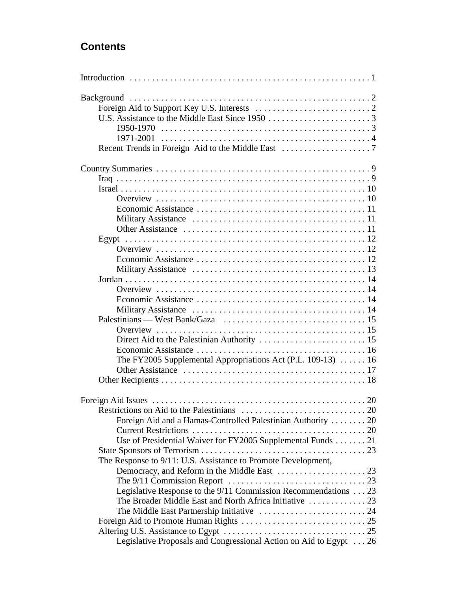### **Contents**

| The FY2005 Supplemental Appropriations Act (P.L. 109-13)  16      |  |
|-------------------------------------------------------------------|--|
|                                                                   |  |
|                                                                   |  |
|                                                                   |  |
|                                                                   |  |
|                                                                   |  |
| Foreign Aid and a Hamas-Controlled Palestinian Authority 20       |  |
|                                                                   |  |
| Use of Presidential Waiver for FY2005 Supplemental Funds 21       |  |
|                                                                   |  |
| The Response to 9/11: U.S. Assistance to Promote Development,     |  |
|                                                                   |  |
|                                                                   |  |
| Legislative Response to the 9/11 Commission Recommendations 23    |  |
| The Broader Middle East and North Africa Initiative  23           |  |
|                                                                   |  |
|                                                                   |  |
|                                                                   |  |
| Legislative Proposals and Congressional Action on Aid to Egypt 26 |  |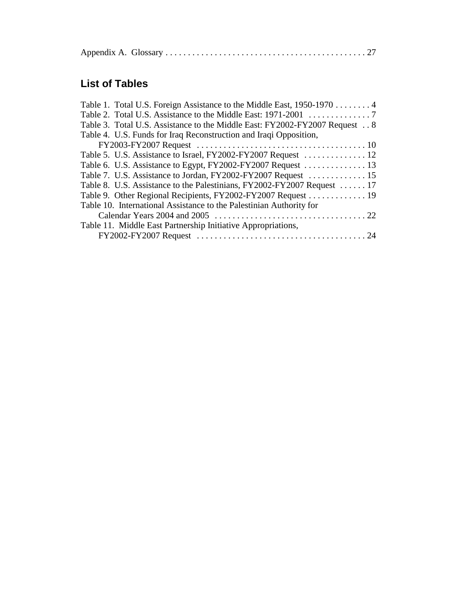|--|--|--|

### **List of Tables**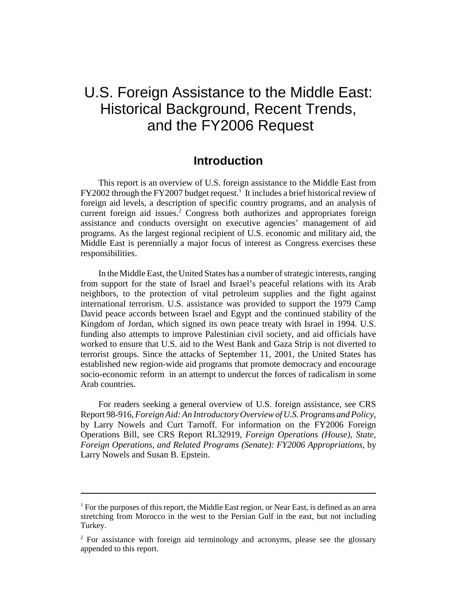## U.S. Foreign Assistance to the Middle East: Historical Background, Recent Trends, and the FY2006 Request

### **Introduction**

This report is an overview of U.S. foreign assistance to the Middle East from FY2002 through the FY2007 budget request.<sup>1</sup> It includes a brief historical review of foreign aid levels, a description of specific country programs, and an analysis of current foreign aid issues.<sup>2</sup> Congress both authorizes and appropriates foreign assistance and conducts oversight on executive agencies' management of aid programs. As the largest regional recipient of U.S. economic and military aid, the Middle East is perennially a major focus of interest as Congress exercises these responsibilities.

In the Middle East, the United States has a number of strategic interests, ranging from support for the state of Israel and Israel's peaceful relations with its Arab neighbors, to the protection of vital petroleum supplies and the fight against international terrorism. U.S. assistance was provided to support the 1979 Camp David peace accords between Israel and Egypt and the continued stability of the Kingdom of Jordan, which signed its own peace treaty with Israel in 1994. U.S. funding also attempts to improve Palestinian civil society, and aid officials have worked to ensure that U.S. aid to the West Bank and Gaza Strip is not diverted to terrorist groups. Since the attacks of September 11, 2001, the United States has established new region-wide aid programs that promote democracy and encourage socio-economic reform in an attempt to undercut the forces of radicalism in some Arab countries.

For readers seeking a general overview of U.S. foreign assistance, see CRS Report 98-916, *Foreign Aid: An Introductory Overview of U.S. Programs and Policy*, by Larry Nowels and Curt Tarnoff. For information on the FY2006 Foreign Operations Bill, see CRS Report RL32919, *Foreign Operations (House), State, Foreign Operations, and Related Programs (Senate): FY2006 Appropriations*, by Larry Nowels and Susan B. Epstein.

<sup>&</sup>lt;sup>1</sup> For the purposes of this report, the Middle East region, or Near East, is defined as an area stretching from Morocco in the west to the Persian Gulf in the east, but not including Turkey.

<sup>&</sup>lt;sup>2</sup> For assistance with foreign aid terminology and acronyms, please see the glossary appended to this report.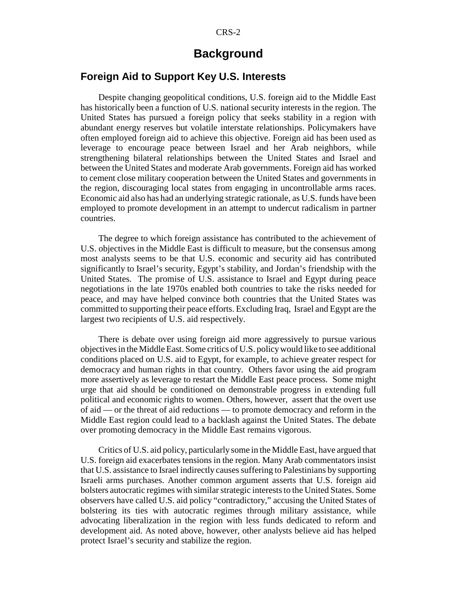### **Background**

### **Foreign Aid to Support Key U.S. Interests**

Despite changing geopolitical conditions, U.S. foreign aid to the Middle East has historically been a function of U.S. national security interests in the region. The United States has pursued a foreign policy that seeks stability in a region with abundant energy reserves but volatile interstate relationships. Policymakers have often employed foreign aid to achieve this objective. Foreign aid has been used as leverage to encourage peace between Israel and her Arab neighbors, while strengthening bilateral relationships between the United States and Israel and between the United States and moderate Arab governments. Foreign aid has worked to cement close military cooperation between the United States and governments in the region, discouraging local states from engaging in uncontrollable arms races. Economic aid also has had an underlying strategic rationale, as U.S. funds have been employed to promote development in an attempt to undercut radicalism in partner countries.

The degree to which foreign assistance has contributed to the achievement of U.S. objectives in the Middle East is difficult to measure, but the consensus among most analysts seems to be that U.S. economic and security aid has contributed significantly to Israel's security, Egypt's stability, and Jordan's friendship with the United States. The promise of U.S. assistance to Israel and Egypt during peace negotiations in the late 1970s enabled both countries to take the risks needed for peace, and may have helped convince both countries that the United States was committed to supporting their peace efforts. Excluding Iraq, Israel and Egypt are the largest two recipients of U.S. aid respectively.

There is debate over using foreign aid more aggressively to pursue various objectives in the Middle East. Some critics of U.S. policy would like to see additional conditions placed on U.S. aid to Egypt, for example, to achieve greater respect for democracy and human rights in that country. Others favor using the aid program more assertively as leverage to restart the Middle East peace process. Some might urge that aid should be conditioned on demonstrable progress in extending full political and economic rights to women. Others, however, assert that the overt use of aid — or the threat of aid reductions — to promote democracy and reform in the Middle East region could lead to a backlash against the United States. The debate over promoting democracy in the Middle East remains vigorous.

Critics of U.S. aid policy, particularly some in the Middle East, have argued that U.S. foreign aid exacerbates tensions in the region. Many Arab commentators insist that U.S. assistance to Israel indirectly causes suffering to Palestinians by supporting Israeli arms purchases. Another common argument asserts that U.S. foreign aid bolsters autocratic regimes with similar strategic interests to the United States. Some observers have called U.S. aid policy "contradictory," accusing the United States of bolstering its ties with autocratic regimes through military assistance, while advocating liberalization in the region with less funds dedicated to reform and development aid. As noted above, however, other analysts believe aid has helped protect Israel's security and stabilize the region.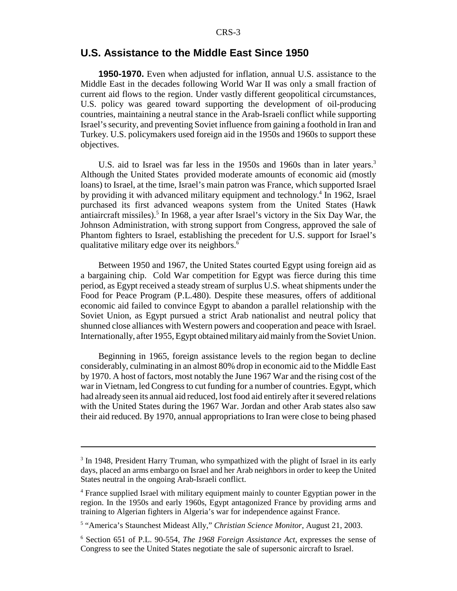#### **U.S. Assistance to the Middle East Since 1950**

**1950-1970.** Even when adjusted for inflation, annual U.S. assistance to the Middle East in the decades following World War II was only a small fraction of current aid flows to the region. Under vastly different geopolitical circumstances, U.S. policy was geared toward supporting the development of oil-producing countries, maintaining a neutral stance in the Arab-Israeli conflict while supporting Israel's security, and preventing Soviet influence from gaining a foothold in Iran and Turkey. U.S. policymakers used foreign aid in the 1950s and 1960s to support these objectives.

U.S. aid to Israel was far less in the 1950s and 1960s than in later years.<sup>3</sup> Although the United States provided moderate amounts of economic aid (mostly loans) to Israel, at the time, Israel's main patron was France, which supported Israel by providing it with advanced military equipment and technology.<sup>4</sup> In 1962, Israel purchased its first advanced weapons system from the United States (Hawk antiaircraft missiles).<sup>5</sup> In 1968, a year after Israel's victory in the Six Day War, the Johnson Administration, with strong support from Congress, approved the sale of Phantom fighters to Israel, establishing the precedent for U.S. support for Israel's qualitative military edge over its neighbors.<sup>6</sup>

Between 1950 and 1967, the United States courted Egypt using foreign aid as a bargaining chip. Cold War competition for Egypt was fierce during this time period, as Egypt received a steady stream of surplus U.S. wheat shipments under the Food for Peace Program (P.L.480). Despite these measures, offers of additional economic aid failed to convince Egypt to abandon a parallel relationship with the Soviet Union, as Egypt pursued a strict Arab nationalist and neutral policy that shunned close alliances with Western powers and cooperation and peace with Israel. Internationally, after 1955, Egypt obtained military aid mainly from the Soviet Union.

Beginning in 1965, foreign assistance levels to the region began to decline considerably, culminating in an almost 80% drop in economic aid to the Middle East by 1970. A host of factors, most notably the June 1967 War and the rising cost of the war in Vietnam, led Congress to cut funding for a number of countries. Egypt, which had already seen its annual aid reduced, lost food aid entirely after it severed relations with the United States during the 1967 War. Jordan and other Arab states also saw their aid reduced. By 1970, annual appropriations to Iran were close to being phased

<sup>&</sup>lt;sup>3</sup> In 1948, President Harry Truman, who sympathized with the plight of Israel in its early days, placed an arms embargo on Israel and her Arab neighbors in order to keep the United States neutral in the ongoing Arab-Israeli conflict.

<sup>&</sup>lt;sup>4</sup> France supplied Israel with military equipment mainly to counter Egyptian power in the region. In the 1950s and early 1960s, Egypt antagonized France by providing arms and training to Algerian fighters in Algeria's war for independence against France.

<sup>5</sup> "America's Staunchest Mideast Ally," *Christian Science Monitor*, August 21, 2003.

<sup>6</sup> Section 651 of P.L. 90-554, *The 1968 Foreign Assistance Act*, expresses the sense of Congress to see the United States negotiate the sale of supersonic aircraft to Israel.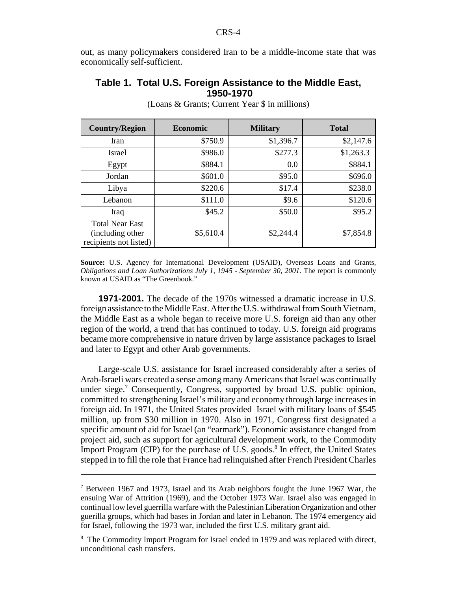out, as many policymakers considered Iran to be a middle-income state that was economically self-sufficient.

#### **Table 1. Total U.S. Foreign Assistance to the Middle East, 1950-1970**

| <b>Country/Region</b>                                                 | <b>Economic</b> | <b>Military</b> | <b>Total</b> |
|-----------------------------------------------------------------------|-----------------|-----------------|--------------|
| <b>Iran</b>                                                           | \$750.9         | \$1,396.7       | \$2,147.6    |
| Israel                                                                | \$986.0         | \$277.3         | \$1,263.3    |
| Egypt                                                                 | \$884.1         | 0.0             | \$884.1      |
| Jordan                                                                | \$601.0         | \$95.0          | \$696.0      |
| Libya                                                                 | \$220.6         | \$17.4          | \$238.0      |
| Lebanon                                                               | \$111.0         | \$9.6           | \$120.6      |
| Iraq                                                                  | \$45.2          | \$50.0          | \$95.2       |
| <b>Total Near East</b><br>(including other)<br>recipients not listed) | \$5,610.4       | \$2,244.4       | \$7,854.8    |

(Loans & Grants; Current Year \$ in millions)

**1971-2001.** The decade of the 1970s witnessed a dramatic increase in U.S. foreign assistance to the Middle East. After the U.S. withdrawal from South Vietnam, the Middle East as a whole began to receive more U.S. foreign aid than any other region of the world, a trend that has continued to today. U.S. foreign aid programs became more comprehensive in nature driven by large assistance packages to Israel and later to Egypt and other Arab governments.

Large-scale U.S. assistance for Israel increased considerably after a series of Arab-Israeli wars created a sense among many Americans that Israel was continually under siege.<sup>7</sup> Consequently, Congress, supported by broad U.S. public opinion, committed to strengthening Israel's military and economy through large increases in foreign aid. In 1971, the United States provided Israel with military loans of \$545 million, up from \$30 million in 1970. Also in 1971, Congress first designated a specific amount of aid for Israel (an "earmark"). Economic assistance changed from project aid, such as support for agricultural development work, to the Commodity Import Program (CIP) for the purchase of U.S. goods.<sup>8</sup> In effect, the United States stepped in to fill the role that France had relinquished after French President Charles

**Source:** U.S. Agency for International Development (USAID), Overseas Loans and Grants, *Obligations and Loan Authorizations July 1, 1945 - September 30, 2001.* The report is commonly known at USAID as "The Greenbook."

<sup>&</sup>lt;sup>7</sup> Between 1967 and 1973, Israel and its Arab neighbors fought the June 1967 War, the ensuing War of Attrition (1969), and the October 1973 War. Israel also was engaged in continual low level guerrilla warfare with the Palestinian Liberation Organization and other guerilla groups, which had bases in Jordan and later in Lebanon. The 1974 emergency aid for Israel, following the 1973 war, included the first U.S. military grant aid.

<sup>&</sup>lt;sup>8</sup> The Commodity Import Program for Israel ended in 1979 and was replaced with direct, unconditional cash transfers.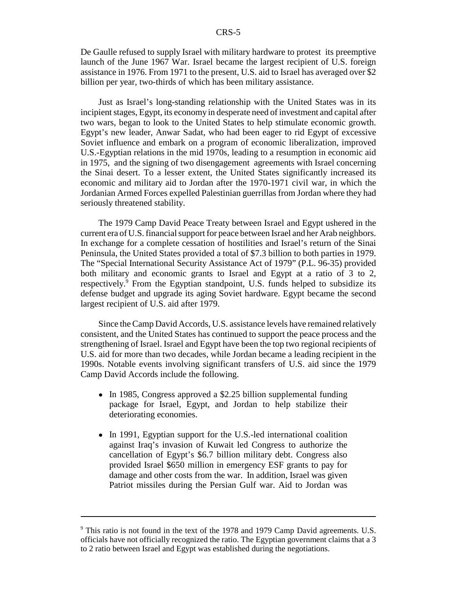De Gaulle refused to supply Israel with military hardware to protest its preemptive launch of the June 1967 War. Israel became the largest recipient of U.S. foreign assistance in 1976. From 1971 to the present, U.S. aid to Israel has averaged over \$2 billion per year, two-thirds of which has been military assistance.

Just as Israel's long-standing relationship with the United States was in its incipient stages, Egypt, its economy in desperate need of investment and capital after two wars, began to look to the United States to help stimulate economic growth. Egypt's new leader, Anwar Sadat, who had been eager to rid Egypt of excessive Soviet influence and embark on a program of economic liberalization, improved U.S.-Egyptian relations in the mid 1970s, leading to a resumption in economic aid in 1975, and the signing of two disengagement agreements with Israel concerning the Sinai desert. To a lesser extent, the United States significantly increased its economic and military aid to Jordan after the 1970-1971 civil war, in which the Jordanian Armed Forces expelled Palestinian guerrillas from Jordan where they had seriously threatened stability.

The 1979 Camp David Peace Treaty between Israel and Egypt ushered in the current era of U.S. financial support for peace between Israel and her Arab neighbors. In exchange for a complete cessation of hostilities and Israel's return of the Sinai Peninsula, the United States provided a total of \$7.3 billion to both parties in 1979. The "Special International Security Assistance Act of 1979" (P.L. 96-35) provided both military and economic grants to Israel and Egypt at a ratio of 3 to 2, respectively.<sup>9</sup> From the Egyptian standpoint, U.S. funds helped to subsidize its defense budget and upgrade its aging Soviet hardware. Egypt became the second largest recipient of U.S. aid after 1979.

Since the Camp David Accords, U.S. assistance levels have remained relatively consistent, and the United States has continued to support the peace process and the strengthening of Israel. Israel and Egypt have been the top two regional recipients of U.S. aid for more than two decades, while Jordan became a leading recipient in the 1990s. Notable events involving significant transfers of U.S. aid since the 1979 Camp David Accords include the following.

- In 1985, Congress approved a \$2.25 billion supplemental funding package for Israel, Egypt, and Jordan to help stabilize their deteriorating economies.
- In 1991, Egyptian support for the U.S.-led international coalition against Iraq's invasion of Kuwait led Congress to authorize the cancellation of Egypt's \$6.7 billion military debt. Congress also provided Israel \$650 million in emergency ESF grants to pay for damage and other costs from the war. In addition, Israel was given Patriot missiles during the Persian Gulf war. Aid to Jordan was

<sup>&</sup>lt;sup>9</sup> This ratio is not found in the text of the 1978 and 1979 Camp David agreements. U.S. officials have not officially recognized the ratio. The Egyptian government claims that a 3 to 2 ratio between Israel and Egypt was established during the negotiations.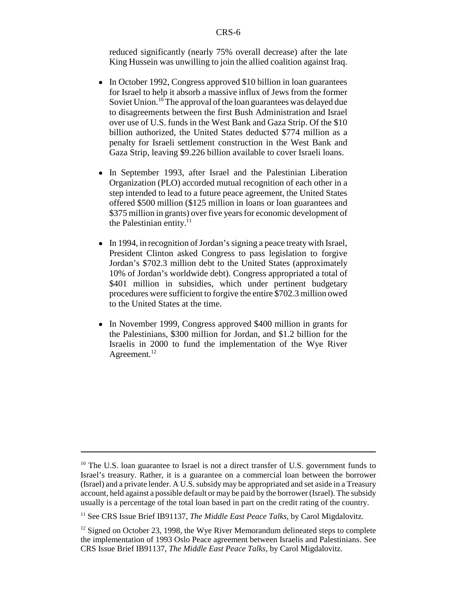reduced significantly (nearly 75% overall decrease) after the late King Hussein was unwilling to join the allied coalition against Iraq.

- In October 1992, Congress approved \$10 billion in loan guarantees for Israel to help it absorb a massive influx of Jews from the former Soviet Union.<sup>10</sup> The approval of the loan guarantees was delayed due to disagreements between the first Bush Administration and Israel over use of U.S. funds in the West Bank and Gaza Strip. Of the \$10 billion authorized, the United States deducted \$774 million as a penalty for Israeli settlement construction in the West Bank and Gaza Strip, leaving \$9.226 billion available to cover Israeli loans.
- In September 1993, after Israel and the Palestinian Liberation Organization (PLO) accorded mutual recognition of each other in a step intended to lead to a future peace agreement, the United States offered \$500 million (\$125 million in loans or loan guarantees and \$375 million in grants) over five years for economic development of the Palestinian entity. $^{11}$
- In 1994, in recognition of Jordan's signing a peace treaty with Israel, President Clinton asked Congress to pass legislation to forgive Jordan's \$702.3 million debt to the United States (approximately 10% of Jordan's worldwide debt). Congress appropriated a total of \$401 million in subsidies, which under pertinent budgetary procedures were sufficient to forgive the entire \$702.3 million owed to the United States at the time.
- In November 1999, Congress approved \$400 million in grants for the Palestinians, \$300 million for Jordan, and \$1.2 billion for the Israelis in 2000 to fund the implementation of the Wye River Agreement. $^{12}$

<sup>&</sup>lt;sup>10</sup> The U.S. loan guarantee to Israel is not a direct transfer of U.S. government funds to Israel's treasury. Rather, it is a guarantee on a commercial loan between the borrower (Israel) and a private lender. A U.S. subsidy may be appropriated and set aside in a Treasury account, held against a possible default or may be paid by the borrower (Israel). The subsidy usually is a percentage of the total loan based in part on the credit rating of the country.

<sup>&</sup>lt;sup>11</sup> See CRS Issue Brief IB91137, *The Middle East Peace Talks*, by Carol Migdalovitz.

 $12$  Signed on October 23, 1998, the Wye River Memorandum delineated steps to complete the implementation of 1993 Oslo Peace agreement between Israelis and Palestinians. See CRS Issue Brief IB91137, *The Middle East Peace Talks*, by Carol Migdalovitz.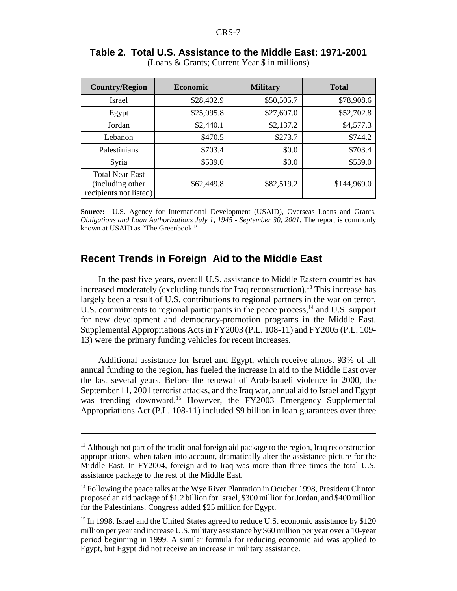| <b>Country/Region</b>                                                 | <b>Economic</b> |            | <b>Total</b> |  |
|-----------------------------------------------------------------------|-----------------|------------|--------------|--|
| <b>Israel</b>                                                         | \$28,402.9      | \$50,505.7 | \$78,908.6   |  |
| Egypt                                                                 | \$25,095.8      | \$27,607.0 | \$52,702.8   |  |
| Jordan                                                                | \$2,440.1       | \$2,137.2  | \$4,577.3    |  |
| Lebanon                                                               | \$470.5         | \$273.7    | \$744.2      |  |
| Palestinians                                                          | \$703.4         | \$0.0      | \$703.4      |  |
| Syria                                                                 | \$539.0         | \$0.0      | \$539.0      |  |
| <b>Total Near East</b><br>(including other)<br>recipients not listed) | \$62,449.8      | \$82,519.2 | \$144,969.0  |  |

#### **Table 2. Total U.S. Assistance to the Middle East: 1971-2001** (Loans & Grants; Current Year \$ in millions)

**Source:** U.S. Agency for International Development (USAID), Overseas Loans and Grants, *Obligations and Loan Authorizations July 1, 1945 - September 30, 2001.* The report is commonly known at USAID as "The Greenbook."

### **Recent Trends in Foreign Aid to the Middle East**

In the past five years, overall U.S. assistance to Middle Eastern countries has increased moderately (excluding funds for Iraq reconstruction).<sup>13</sup> This increase has largely been a result of U.S. contributions to regional partners in the war on terror, U.S. commitments to regional participants in the peace process,<sup>14</sup> and U.S. support for new development and democracy-promotion programs in the Middle East. Supplemental Appropriations Acts in FY2003 (P.L. 108-11) and FY2005 (P.L. 109- 13) were the primary funding vehicles for recent increases.

Additional assistance for Israel and Egypt, which receive almost 93% of all annual funding to the region, has fueled the increase in aid to the Middle East over the last several years. Before the renewal of Arab-Israeli violence in 2000, the September 11, 2001 terrorist attacks, and the Iraq war, annual aid to Israel and Egypt was trending downward.<sup>15</sup> However, the FY2003 Emergency Supplemental Appropriations Act (P.L. 108-11) included \$9 billion in loan guarantees over three

<sup>&</sup>lt;sup>13</sup> Although not part of the traditional foreign aid package to the region, Iraq reconstruction appropriations, when taken into account, dramatically alter the assistance picture for the Middle East. In FY2004, foreign aid to Iraq was more than three times the total U.S. assistance package to the rest of the Middle East.

 $<sup>14</sup>$  Following the peace talks at the Wye River Plantation in October 1998, President Clinton</sup> proposed an aid package of \$1.2 billion for Israel, \$300 million for Jordan, and \$400 million for the Palestinians. Congress added \$25 million for Egypt.

<sup>&</sup>lt;sup>15</sup> In 1998, Israel and the United States agreed to reduce U.S. economic assistance by \$120 million per year and increase U.S. military assistance by \$60 million per year over a 10-year period beginning in 1999. A similar formula for reducing economic aid was applied to Egypt, but Egypt did not receive an increase in military assistance.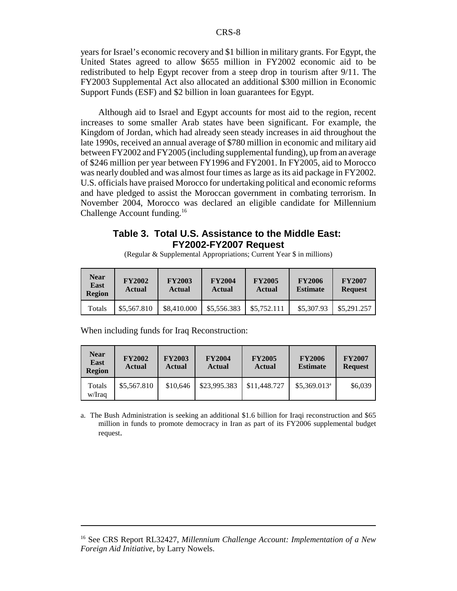years for Israel's economic recovery and \$1 billion in military grants. For Egypt, the United States agreed to allow \$655 million in FY2002 economic aid to be redistributed to help Egypt recover from a steep drop in tourism after 9/11. The FY2003 Supplemental Act also allocated an additional \$300 million in Economic Support Funds (ESF) and \$2 billion in loan guarantees for Egypt.

Although aid to Israel and Egypt accounts for most aid to the region, recent increases to some smaller Arab states have been significant. For example, the Kingdom of Jordan, which had already seen steady increases in aid throughout the late 1990s, received an annual average of \$780 million in economic and military aid between FY2002 and FY2005 (including supplemental funding), up from an average of \$246 million per year between FY1996 and FY2001. In FY2005, aid to Morocco was nearly doubled and was almost four times as large as its aid package in FY2002. U.S. officials have praised Morocco for undertaking political and economic reforms and have pledged to assist the Moroccan government in combating terrorism. In November 2004, Morocco was declared an eligible candidate for Millennium Challenge Account funding.<sup>16</sup>

#### **Table 3. Total U.S. Assistance to the Middle East: FY2002-FY2007 Request**

(Regular & Supplemental Appropriations; Current Year \$ in millions)

| Near<br>East<br><b>Region</b> | <b>FY2002</b><br><b>Actual</b> | <b>FY2003</b><br><b>Actual</b> | <b>FY2004</b><br><b>Actual</b> | <b>FY2005</b><br>Actual | <b>FY2006</b><br><b>Estimate</b> | <b>FY2007</b><br><b>Request</b> |
|-------------------------------|--------------------------------|--------------------------------|--------------------------------|-------------------------|----------------------------------|---------------------------------|
| Totals                        | \$5,567.810                    | \$8,410,000                    | \$5,556.383                    | \$5,752,111             | \$5,307.93                       | \$5,291,257                     |

When including funds for Iraq Reconstruction:

| <b>Near</b><br>East<br><b>Region</b> | <b>FY2002</b><br><b>Actual</b> | <b>FY2003</b><br><b>Actual</b> | <b>FY2004</b><br><b>Actual</b> | <b>FY2005</b><br><b>Actual</b> | <b>FY2006</b><br><b>Estimate</b> | <b>FY2007</b><br><b>Request</b> |
|--------------------------------------|--------------------------------|--------------------------------|--------------------------------|--------------------------------|----------------------------------|---------------------------------|
| Totals<br>w/Iraq                     | \$5,567.810                    | \$10,646                       | \$23,995.383                   | \$11,448,727                   | $$5,369.013^a$                   | \$6,039                         |

a. The Bush Administration is seeking an additional \$1.6 billion for Iraqi reconstruction and \$65 million in funds to promote democracy in Iran as part of its FY2006 supplemental budget request.

<sup>16</sup> See CRS Report RL32427, *Millennium Challenge Account: Implementation of a New Foreign Aid Initiative*, by Larry Nowels.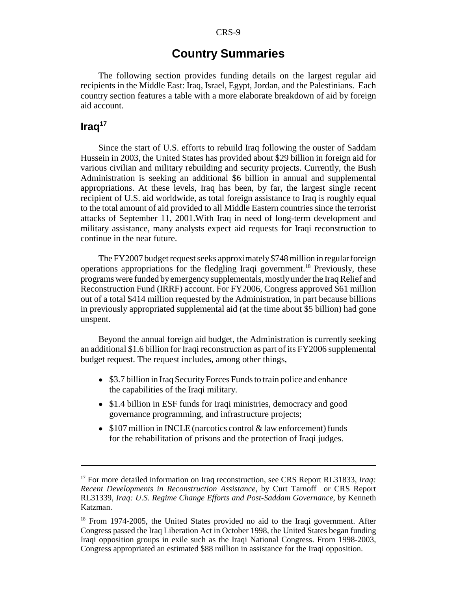### **Country Summaries**

The following section provides funding details on the largest regular aid recipients in the Middle East: Iraq, Israel, Egypt, Jordan, and the Palestinians. Each country section features a table with a more elaborate breakdown of aid by foreign aid account.

### **Iraq17**

Since the start of U.S. efforts to rebuild Iraq following the ouster of Saddam Hussein in 2003, the United States has provided about \$29 billion in foreign aid for various civilian and military rebuilding and security projects. Currently, the Bush Administration is seeking an additional \$6 billion in annual and supplemental appropriations. At these levels, Iraq has been, by far, the largest single recent recipient of U.S. aid worldwide, as total foreign assistance to Iraq is roughly equal to the total amount of aid provided to all Middle Eastern countries since the terrorist attacks of September 11, 2001.With Iraq in need of long-term development and military assistance, many analysts expect aid requests for Iraqi reconstruction to continue in the near future.

The FY2007 budget request seeks approximately \$748 million in regular foreign operations appropriations for the fledgling Iraqi government.18 Previously, these programs were funded by emergency supplementals, mostly under the Iraq Relief and Reconstruction Fund (IRRF) account. For FY2006, Congress approved \$61 million out of a total \$414 million requested by the Administration, in part because billions in previously appropriated supplemental aid (at the time about \$5 billion) had gone unspent.

Beyond the annual foreign aid budget, the Administration is currently seeking an additional \$1.6 billion for Iraqi reconstruction as part of its FY2006 supplemental budget request. The request includes, among other things,

- \$3.7 billion in Iraq Security Forces Funds to train police and enhance the capabilities of the Iraqi military.
- \$1.4 billion in ESF funds for Iraqi ministries, democracy and good governance programming, and infrastructure projects;
- $\bullet$  \$107 million in INCLE (narcotics control & law enforcement) funds for the rehabilitation of prisons and the protection of Iraqi judges.

<sup>&</sup>lt;sup>17</sup> For more detailed information on Iraq reconstruction, see CRS Report RL31833, *Iraq*: *Recent Developments in Reconstruction Assistance*, by Curt Tarnoff or CRS Report RL31339, *Iraq: U.S. Regime Change Efforts and Post-Saddam Governance*, by Kenneth Katzman.

<sup>&</sup>lt;sup>18</sup> From 1974-2005, the United States provided no aid to the Iraqi government. After Congress passed the Iraq Liberation Act in October 1998, the United States began funding Iraqi opposition groups in exile such as the Iraqi National Congress. From 1998-2003, Congress appropriated an estimated \$88 million in assistance for the Iraqi opposition.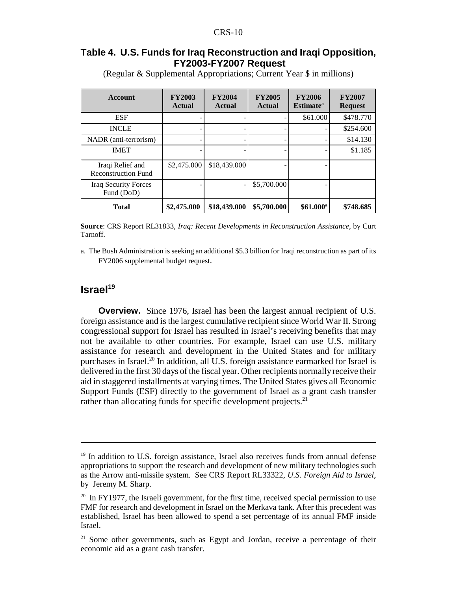#### **Table 4. U.S. Funds for Iraq Reconstruction and Iraqi Opposition, FY2003-FY2007 Request**

| Account                                        | <b>FY2003</b><br><b>Actual</b> | <b>FY2004</b><br><b>Actual</b> | <b>FY2005</b><br><b>Actual</b> | <b>FY2006</b><br><b>Estimate</b> <sup>a</sup> | <b>FY2007</b><br><b>Request</b> |
|------------------------------------------------|--------------------------------|--------------------------------|--------------------------------|-----------------------------------------------|---------------------------------|
| <b>ESF</b>                                     |                                |                                |                                | \$61.000                                      | \$478.770                       |
| <b>INCLE</b>                                   |                                |                                |                                |                                               | \$254.600                       |
| NADR (anti-terrorism)                          |                                |                                |                                |                                               | \$14.130                        |
| <b>IMET</b>                                    |                                |                                |                                |                                               | \$1.185                         |
| Iraqi Relief and<br><b>Reconstruction Fund</b> | \$2,475.000                    | \$18,439.000                   |                                |                                               |                                 |
| <b>Iraq Security Forces</b><br>Fund (DoD)      |                                |                                | \$5,700.000                    |                                               |                                 |
| <b>Total</b>                                   | \$2,475.000                    | \$18,439.000                   | \$5,700.000                    | $$61.000^a$                                   | \$748.685                       |

(Regular & Supplemental Appropriations; Current Year \$ in millions)

**Source**: CRS Report RL31833, *Iraq: Recent Developments in Reconstruction Assistance*, by Curt Tarnoff.

a. The Bush Administration is seeking an additional \$5.3 billion for Iraqi reconstruction as part of its FY2006 supplemental budget request.

### **Israel<sup>19</sup>**

**Overview.** Since 1976, Israel has been the largest annual recipient of U.S. foreign assistance and is the largest cumulative recipient since World War II. Strong congressional support for Israel has resulted in Israel's receiving benefits that may not be available to other countries. For example, Israel can use U.S. military assistance for research and development in the United States and for military purchases in Israel.<sup>20</sup> In addition, all U.S. foreign assistance earmarked for Israel is delivered in the first 30 days of the fiscal year. Other recipients normally receive their aid in staggered installments at varying times. The United States gives all Economic Support Funds (ESF) directly to the government of Israel as a grant cash transfer rather than allocating funds for specific development projects.<sup>21</sup>

 $19$  In addition to U.S. foreign assistance, Israel also receives funds from annual defense appropriations to support the research and development of new military technologies such as the Arrow anti-missile system. See CRS Report RL33322, *U.S. Foreign Aid to Israel*, by Jeremy M. Sharp.

 $20 \text{ In FY1977, the Israel government, for the first time, received special permission to use }$ FMF for research and development in Israel on the Merkava tank. After this precedent was established, Israel has been allowed to spend a set percentage of its annual FMF inside Israel.

 $21$  Some other governments, such as Egypt and Jordan, receive a percentage of their economic aid as a grant cash transfer.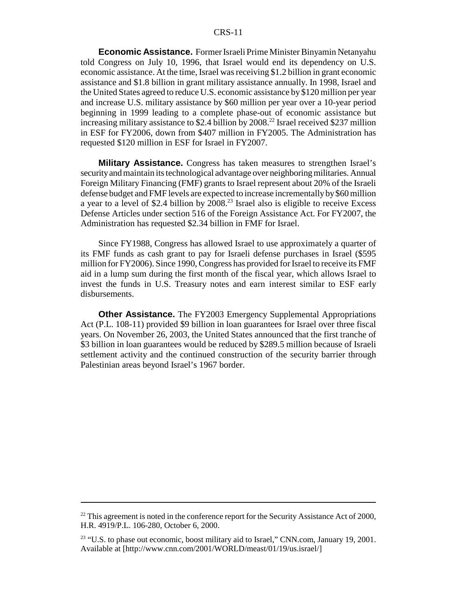#### CRS-11

**Economic Assistance.** Former Israeli Prime Minister Binyamin Netanyahu told Congress on July 10, 1996, that Israel would end its dependency on U.S. economic assistance. At the time, Israel was receiving \$1.2 billion in grant economic assistance and \$1.8 billion in grant military assistance annually. In 1998, Israel and the United States agreed to reduce U.S. economic assistance by \$120 million per year and increase U.S. military assistance by \$60 million per year over a 10-year period beginning in 1999 leading to a complete phase-out of economic assistance but increasing military assistance to \$2.4 billion by 2008.<sup>22</sup> Israel received \$237 million in ESF for FY2006, down from \$407 million in FY2005. The Administration has requested \$120 million in ESF for Israel in FY2007.

**Military Assistance.** Congress has taken measures to strengthen Israel's security and maintain its technological advantage over neighboring militaries. Annual Foreign Military Financing (FMF) grants to Israel represent about 20% of the Israeli defense budget and FMF levels are expected to increase incrementally by \$60 million a year to a level of \$2.4 billion by  $2008<sup>23</sup>$  Israel also is eligible to receive Excess Defense Articles under section 516 of the Foreign Assistance Act. For FY2007, the Administration has requested \$2.34 billion in FMF for Israel.

Since FY1988, Congress has allowed Israel to use approximately a quarter of its FMF funds as cash grant to pay for Israeli defense purchases in Israel (\$595 million for FY2006). Since 1990, Congress has provided for Israel to receive its FMF aid in a lump sum during the first month of the fiscal year, which allows Israel to invest the funds in U.S. Treasury notes and earn interest similar to ESF early disbursements.

**Other Assistance.** The FY2003 Emergency Supplemental Appropriations Act (P.L. 108-11) provided \$9 billion in loan guarantees for Israel over three fiscal years. On November 26, 2003, the United States announced that the first tranche of \$3 billion in loan guarantees would be reduced by \$289.5 million because of Israeli settlement activity and the continued construction of the security barrier through Palestinian areas beyond Israel's 1967 border.

 $22$  This agreement is noted in the conference report for the Security Assistance Act of 2000, H.R. 4919/P.L. 106-280, October 6, 2000.

<sup>&</sup>lt;sup>23</sup> "U.S. to phase out economic, boost military aid to Israel," CNN.com, January 19, 2001. Available at [http://www.cnn.com/2001/WORLD/meast/01/19/us.israel/]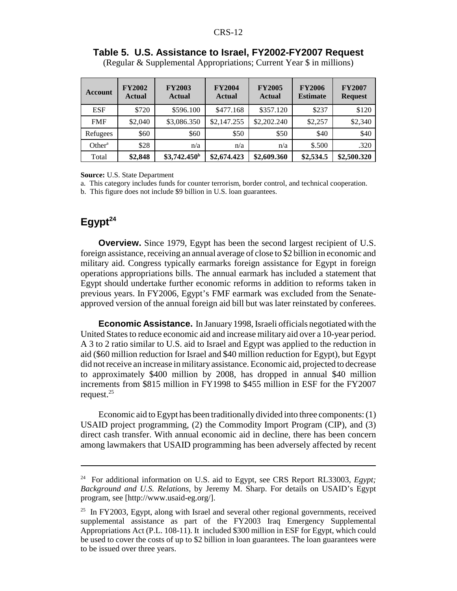| Account            | <b>FY2002</b><br><b>Actual</b> | <b>FY2003</b><br><b>Actual</b> | <b>FY2004</b><br><b>Actual</b> | <b>FY2005</b><br><b>Actual</b> | <b>FY2006</b><br><b>Estimate</b> | <b>FY2007</b><br><b>Request</b> |
|--------------------|--------------------------------|--------------------------------|--------------------------------|--------------------------------|----------------------------------|---------------------------------|
| <b>ESF</b>         | \$720                          | \$596.100                      | \$477.168                      | \$357.120                      | \$237                            | \$120                           |
| <b>FMF</b>         | \$2,040                        | \$3,086.350                    | \$2,147.255                    | \$2,202.240                    | \$2,257                          | \$2,340                         |
| Refugees           | \$60                           | \$60                           | \$50                           | \$50                           | \$40                             | \$40                            |
| Other <sup>a</sup> | \$28                           | n/a                            | n/a                            | n/a                            | \$.500                           | .320                            |
| Total              | \$2,848                        | \$3,742.450 <sup>b</sup>       | \$2,674.423                    | \$2,609.360                    | \$2,534.5                        | \$2,500.320                     |

**Table 5. U.S. Assistance to Israel, FY2002-FY2007 Request** (Regular & Supplemental Appropriations; Current Year \$ in millions)

**Source:** U.S. State Department

a. This category includes funds for counter terrorism, border control, and technical cooperation.

b. This figure does not include \$9 billion in U.S. loan guarantees.

### **Egypt<sup>24</sup>**

**Overview.** Since 1979, Egypt has been the second largest recipient of U.S. foreign assistance, receiving an annual average of close to \$2 billion in economic and military aid. Congress typically earmarks foreign assistance for Egypt in foreign operations appropriations bills. The annual earmark has included a statement that Egypt should undertake further economic reforms in addition to reforms taken in previous years. In FY2006, Egypt's FMF earmark was excluded from the Senateapproved version of the annual foreign aid bill but was later reinstated by conferees.

**Economic Assistance.** In January 1998, Israeli officials negotiated with the United States to reduce economic aid and increase military aid over a 10-year period. A 3 to 2 ratio similar to U.S. aid to Israel and Egypt was applied to the reduction in aid (\$60 million reduction for Israel and \$40 million reduction for Egypt), but Egypt did not receive an increase in military assistance. Economic aid, projected to decrease to approximately \$400 million by 2008, has dropped in annual \$40 million increments from \$815 million in FY1998 to \$455 million in ESF for the FY2007 request. $25$ 

Economic aid to Egypt has been traditionally divided into three components: (1) USAID project programming, (2) the Commodity Import Program (CIP), and (3) direct cash transfer. With annual economic aid in decline, there has been concern among lawmakers that USAID programming has been adversely affected by recent

<sup>24</sup> For additional information on U.S. aid to Egypt, see CRS Report RL33003, *Egypt; Background and U.S. Relations*, by Jeremy M. Sharp. For details on USAID's Egypt program, see [http://www.usaid-eg.org/].

<sup>&</sup>lt;sup>25</sup> In FY2003, Egypt, along with Israel and several other regional governments, received supplemental assistance as part of the FY2003 Iraq Emergency Supplemental Appropriations Act (P.L. 108-11). It included \$300 million in ESF for Egypt, which could be used to cover the costs of up to \$2 billion in loan guarantees. The loan guarantees were to be issued over three years.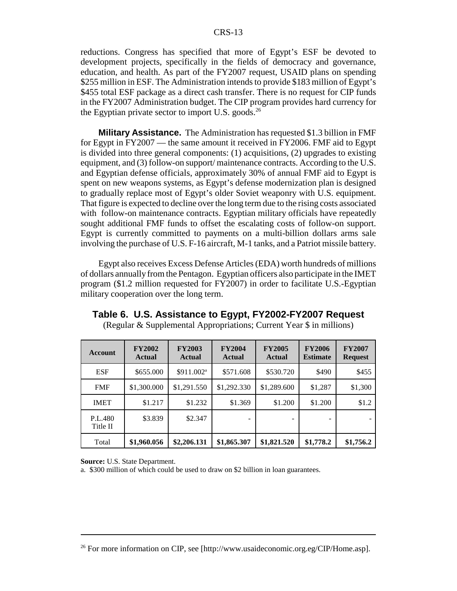reductions. Congress has specified that more of Egypt's ESF be devoted to development projects, specifically in the fields of democracy and governance, education, and health. As part of the FY2007 request, USAID plans on spending \$255 million in ESF. The Administration intends to provide \$183 million of Egypt's \$455 total ESF package as a direct cash transfer. There is no request for CIP funds in the FY2007 Administration budget. The CIP program provides hard currency for the Egyptian private sector to import U.S. goods.<sup>26</sup>

**Military Assistance.** The Administration has requested \$1.3 billion in FMF for Egypt in FY2007 — the same amount it received in FY2006. FMF aid to Egypt is divided into three general components: (1) acquisitions, (2) upgrades to existing equipment, and (3) follow-on support/ maintenance contracts. According to the U.S. and Egyptian defense officials, approximately 30% of annual FMF aid to Egypt is spent on new weapons systems, as Egypt's defense modernization plan is designed to gradually replace most of Egypt's older Soviet weaponry with U.S. equipment. That figure is expected to decline over the long term due to the rising costs associated with follow-on maintenance contracts. Egyptian military officials have repeatedly sought additional FMF funds to offset the escalating costs of follow-on support. Egypt is currently committed to payments on a multi-billion dollars arms sale involving the purchase of U.S. F-16 aircraft, M-1 tanks, and a Patriot missile battery.

Egypt also receives Excess Defense Articles (EDA) worth hundreds of millions of dollars annually from the Pentagon. Egyptian officers also participate in the IMET program (\$1.2 million requested for FY2007) in order to facilitate U.S.-Egyptian military cooperation over the long term.

| Account             | <b>FY2002</b><br><b>Actual</b> | <b>FY2003</b><br><b>Actual</b> | <b>FY2004</b><br><b>Actual</b> | <b>FY2005</b><br><b>Actual</b> | <b>FY2006</b><br><b>Estimate</b> | <b>FY2007</b><br><b>Request</b> |
|---------------------|--------------------------------|--------------------------------|--------------------------------|--------------------------------|----------------------------------|---------------------------------|
| <b>ESF</b>          | \$655.000                      | \$911.002 <sup>a</sup>         | \$571.608                      | \$530.720                      | \$490                            | \$455                           |
| <b>FMF</b>          | \$1,300.000                    | \$1,291.550                    | \$1,292.330                    | \$1,289.600                    | \$1,287                          | \$1,300                         |
| <b>IMET</b>         | \$1.217                        | \$1.232                        | \$1.369                        | \$1.200                        | \$1.200                          | \$1.2                           |
| P.L.480<br>Title II | \$3.839                        | \$2.347                        |                                |                                |                                  |                                 |
| Total               | \$1,960.056                    | \$2,206.131                    | \$1,865.307                    | \$1,821.520                    | \$1,778.2                        | \$1,756.2                       |

**Table 6. U.S. Assistance to Egypt, FY2002-FY2007 Request** (Regular & Supplemental Appropriations; Current Year \$ in millions)

**Source:** U.S. State Department.

a. \$300 million of which could be used to draw on \$2 billion in loan guarantees.

<sup>&</sup>lt;sup>26</sup> For more information on CIP, see [http://www.usaideconomic.org.eg/CIP/Home.asp].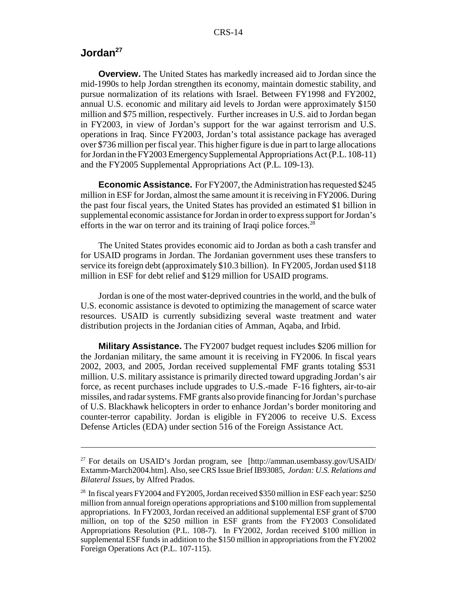### **Jordan27**

**Overview.** The United States has markedly increased aid to Jordan since the mid-1990s to help Jordan strengthen its economy, maintain domestic stability, and pursue normalization of its relations with Israel. Between FY1998 and FY2002, annual U.S. economic and military aid levels to Jordan were approximately \$150 million and \$75 million, respectively. Further increases in U.S. aid to Jordan began in FY2003, in view of Jordan's support for the war against terrorism and U.S. operations in Iraq. Since FY2003, Jordan's total assistance package has averaged over \$736 million per fiscal year. This higher figure is due in part to large allocations for Jordan in the FY2003 Emergency Supplemental Appropriations Act (P.L. 108-11) and the FY2005 Supplemental Appropriations Act (P.L. 109-13).

**Economic Assistance.** For FY2007, the Administration has requested \$245 million in ESF for Jordan, almost the same amount it is receiving in FY2006. During the past four fiscal years, the United States has provided an estimated \$1 billion in supplemental economic assistance for Jordan in order to express support for Jordan's efforts in the war on terror and its training of Iraqi police forces.<sup>28</sup>

The United States provides economic aid to Jordan as both a cash transfer and for USAID programs in Jordan. The Jordanian government uses these transfers to service its foreign debt (approximately \$10.3 billion). In FY2005, Jordan used \$118 million in ESF for debt relief and \$129 million for USAID programs.

Jordan is one of the most water-deprived countries in the world, and the bulk of U.S. economic assistance is devoted to optimizing the management of scarce water resources. USAID is currently subsidizing several waste treatment and water distribution projects in the Jordanian cities of Amman, Aqaba, and Irbid.

**Military Assistance.** The FY2007 budget request includes \$206 million for the Jordanian military, the same amount it is receiving in FY2006. In fiscal years 2002, 2003, and 2005, Jordan received supplemental FMF grants totaling \$531 million. U.S. military assistance is primarily directed toward upgrading Jordan's air force, as recent purchases include upgrades to U.S.-made F-16 fighters, air-to-air missiles, and radar systems. FMF grants also provide financing for Jordan's purchase of U.S. Blackhawk helicopters in order to enhance Jordan's border monitoring and counter-terror capability. Jordan is eligible in FY2006 to receive U.S. Excess Defense Articles (EDA) under section 516 of the Foreign Assistance Act.

<sup>27</sup> For details on USAID's Jordan program, see [http://amman.usembassy.gov/USAID/ Extamm-March2004.htm]. Also, see CRS Issue Brief IB93085, *Jordan: U.S. Relations and Bilateral Issues*, by Alfred Prados.

<sup>&</sup>lt;sup>28</sup> In fiscal years FY2004 and FY2005, Jordan received \$350 million in ESF each year: \$250 million from annual foreign operations appropriations and \$100 million from supplemental appropriations. In FY2003, Jordan received an additional supplemental ESF grant of \$700 million, on top of the \$250 million in ESF grants from the FY2003 Consolidated Appropriations Resolution (P.L. 108-7). In FY2002, Jordan received \$100 million in supplemental ESF funds in addition to the \$150 million in appropriations from the FY2002 Foreign Operations Act (P.L. 107-115).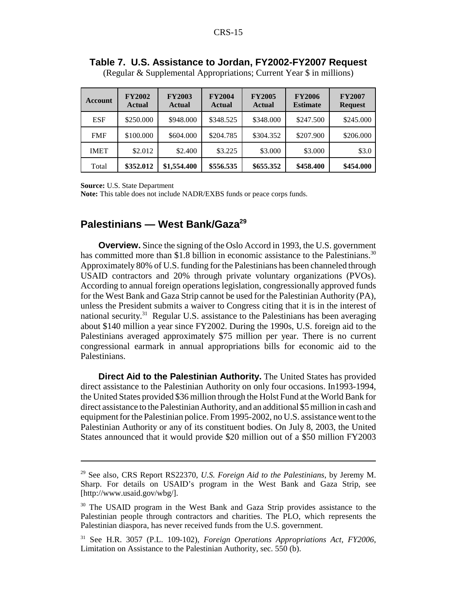| Account     | <b>FY2002</b><br>Actual | <b>FY2003</b><br><b>Actual</b> | <b>FY2004</b><br><b>Actual</b> | <b>FY2005</b><br><b>Actual</b> | <b>FY2006</b><br><b>Estimate</b> | <b>FY2007</b><br><b>Request</b> |
|-------------|-------------------------|--------------------------------|--------------------------------|--------------------------------|----------------------------------|---------------------------------|
| <b>ESF</b>  | \$250,000               | \$948,000                      | \$348.525                      | \$348,000                      | \$247.500                        | \$245.000                       |
| <b>FMF</b>  | \$100.000               | \$604,000                      | \$204.785                      | \$304.352                      | \$207.900                        | \$206.000                       |
| <b>IMET</b> | \$2.012                 | \$2.400                        | \$3.225                        | \$3,000                        | \$3,000                          | \$3.0                           |
| Total       | \$352.012               | \$1,554.400                    | \$556.535                      | \$655.352                      | \$458.400                        | \$454,000                       |

**Table 7. U.S. Assistance to Jordan, FY2002-FY2007 Request**

(Regular & Supplemental Appropriations; Current Year \$ in millions)

**Source:** U.S. State Department

**Note:** This table does not include NADR/EXBS funds or peace corps funds.

### **Palestinians — West Bank/Gaza29**

**Overview.** Since the signing of the Oslo Accord in 1993, the U.S. government has committed more than \$1.8 billion in economic assistance to the Palestinians.<sup>30</sup> Approximately 80% of U.S. funding for the Palestinians has been channeled through USAID contractors and 20% through private voluntary organizations (PVOs). According to annual foreign operations legislation, congressionally approved funds for the West Bank and Gaza Strip cannot be used for the Palestinian Authority (PA), unless the President submits a waiver to Congress citing that it is in the interest of national security.<sup>31</sup> Regular U.S. assistance to the Palestinians has been averaging about \$140 million a year since FY2002. During the 1990s, U.S. foreign aid to the Palestinians averaged approximately \$75 million per year. There is no current congressional earmark in annual appropriations bills for economic aid to the Palestinians.

**Direct Aid to the Palestinian Authority.** The United States has provided direct assistance to the Palestinian Authority on only four occasions. In1993-1994, the United States provided \$36 million through the Holst Fund at the World Bank for direct assistance to the Palestinian Authority, and an additional \$5 million in cash and equipment for the Palestinian police. From 1995-2002, no U.S. assistance went to the Palestinian Authority or any of its constituent bodies. On July 8, 2003, the United States announced that it would provide \$20 million out of a \$50 million FY2003

<sup>29</sup> See also, CRS Report RS22370, *U.S. Foreign Aid to the Palestinians*, by Jeremy M. Sharp. For details on USAID's program in the West Bank and Gaza Strip, see [http://www.usaid.gov/wbg/].

<sup>&</sup>lt;sup>30</sup> The USAID program in the West Bank and Gaza Strip provides assistance to the Palestinian people through contractors and charities. The PLO, which represents the Palestinian diaspora, has never received funds from the U.S. government.

<sup>31</sup> See H.R. 3057 (P.L. 109-102), *Foreign Operations Appropriations Act, FY2006*, Limitation on Assistance to the Palestinian Authority, sec. 550 (b).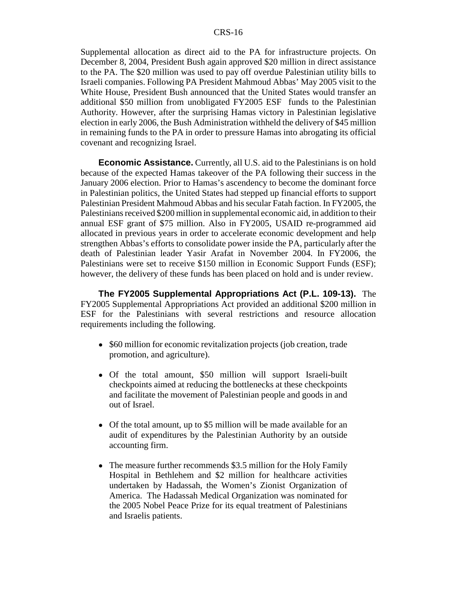Supplemental allocation as direct aid to the PA for infrastructure projects. On December 8, 2004, President Bush again approved \$20 million in direct assistance to the PA. The \$20 million was used to pay off overdue Palestinian utility bills to Israeli companies. Following PA President Mahmoud Abbas' May 2005 visit to the White House, President Bush announced that the United States would transfer an additional \$50 million from unobligated FY2005 ESF funds to the Palestinian Authority. However, after the surprising Hamas victory in Palestinian legislative election in early 2006, the Bush Administration withheld the delivery of \$45 million in remaining funds to the PA in order to pressure Hamas into abrogating its official covenant and recognizing Israel.

**Economic Assistance.** Currently, all U.S. aid to the Palestinians is on hold because of the expected Hamas takeover of the PA following their success in the January 2006 election. Prior to Hamas's ascendency to become the dominant force in Palestinian politics, the United States had stepped up financial efforts to support Palestinian President Mahmoud Abbas and his secular Fatah faction. In FY2005, the Palestinians received \$200 million in supplemental economic aid, in addition to their annual ESF grant of \$75 million. Also in FY2005, USAID re-programmed aid allocated in previous years in order to accelerate economic development and help strengthen Abbas's efforts to consolidate power inside the PA, particularly after the death of Palestinian leader Yasir Arafat in November 2004. In FY2006, the Palestinians were set to receive \$150 million in Economic Support Funds (ESF); however, the delivery of these funds has been placed on hold and is under review.

**The FY2005 Supplemental Appropriations Act (P.L. 109-13).** The FY2005 Supplemental Appropriations Act provided an additional \$200 million in ESF for the Palestinians with several restrictions and resource allocation requirements including the following.

- \$60 million for economic revitalization projects (job creation, trade promotion, and agriculture).
- ! Of the total amount, \$50 million will support Israeli-built checkpoints aimed at reducing the bottlenecks at these checkpoints and facilitate the movement of Palestinian people and goods in and out of Israel.
- Of the total amount, up to \$5 million will be made available for an audit of expenditures by the Palestinian Authority by an outside accounting firm.
- The measure further recommends \$3.5 million for the Holy Family Hospital in Bethlehem and \$2 million for healthcare activities undertaken by Hadassah, the Women's Zionist Organization of America. The Hadassah Medical Organization was nominated for the 2005 Nobel Peace Prize for its equal treatment of Palestinians and Israelis patients.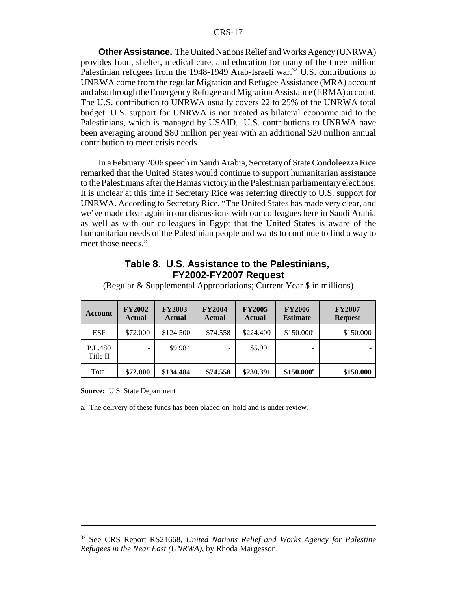#### CRS-17

**Other Assistance.** The United Nations Relief and Works Agency (UNRWA) provides food, shelter, medical care, and education for many of the three million Palestinian refugees from the 1948-1949 Arab-Israeli war.<sup>32</sup> U.S. contributions to UNRWA come from the regular Migration and Refugee Assistance (MRA) account and also through the Emergency Refugee and Migration Assistance (ERMA) account. The U.S. contribution to UNRWA usually covers 22 to 25% of the UNRWA total budget. U.S. support for UNRWA is not treated as bilateral economic aid to the Palestinians, which is managed by USAID. U.S. contributions to UNRWA have been averaging around \$80 million per year with an additional \$20 million annual contribution to meet crisis needs.

In a February 2006 speech in Saudi Arabia, Secretary of State Condoleezza Rice remarked that the United States would continue to support humanitarian assistance to the Palestinians after the Hamas victory in the Palestinian parliamentary elections. It is unclear at this time if Secretary Rice was referring directly to U.S. support for UNRWA. According to Secretary Rice, "The United States has made very clear, and we've made clear again in our discussions with our colleagues here in Saudi Arabia as well as with our colleagues in Egypt that the United States is aware of the humanitarian needs of the Palestinian people and wants to continue to find a way to meet those needs."

#### **Table 8. U.S. Assistance to the Palestinians, FY2002-FY2007 Request**

| <b>Account</b>      | <b>FY2002</b><br><b>Actual</b> | <b>FY2003</b><br><b>Actual</b> | <b>FY2004</b><br><b>Actual</b> | <b>FY2005</b><br><b>Actual</b> | <b>FY2006</b><br><b>Estimate</b> | <b>FY2007</b><br><b>Request</b> |
|---------------------|--------------------------------|--------------------------------|--------------------------------|--------------------------------|----------------------------------|---------------------------------|
| <b>ESF</b>          | \$72,000                       | \$124.500                      | \$74.558                       | \$224.400                      | $$150.000^a$                     | \$150.000                       |
| P.L.480<br>Title II |                                | \$9.984                        |                                | \$5.991                        |                                  |                                 |
| Total               | \$72.000                       | \$134.484                      | \$74.558                       | \$230.391                      | $$150.000^a$                     | \$150.000                       |

(Regular & Supplemental Appropriations; Current Year \$ in millions)

**Source:** U.S. State Department

a. The delivery of these funds has been placed on hold and is under review.

<sup>32</sup> See CRS Report RS21668, *United Nations Relief and Works Agency for Palestine Refugees in the Near East (UNRWA)*, by Rhoda Margesson.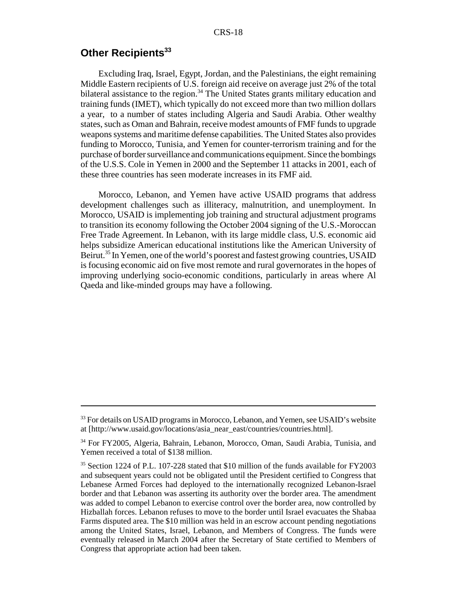### **Other Recipients<sup>33</sup>**

Excluding Iraq, Israel, Egypt, Jordan, and the Palestinians, the eight remaining Middle Eastern recipients of U.S. foreign aid receive on average just 2% of the total bilateral assistance to the region.<sup>34</sup> The United States grants military education and training funds (IMET), which typically do not exceed more than two million dollars a year, to a number of states including Algeria and Saudi Arabia. Other wealthy states, such as Oman and Bahrain, receive modest amounts of FMF funds to upgrade weapons systems and maritime defense capabilities. The United States also provides funding to Morocco, Tunisia, and Yemen for counter-terrorism training and for the purchase of border surveillance and communications equipment. Since the bombings of the U.S.S. Cole in Yemen in 2000 and the September 11 attacks in 2001, each of these three countries has seen moderate increases in its FMF aid.

Morocco, Lebanon, and Yemen have active USAID programs that address development challenges such as illiteracy, malnutrition, and unemployment. In Morocco, USAID is implementing job training and structural adjustment programs to transition its economy following the October 2004 signing of the U.S.-Moroccan Free Trade Agreement. In Lebanon, with its large middle class, U.S. economic aid helps subsidize American educational institutions like the American University of Beirut.<sup>35</sup> In Yemen, one of the world's poorest and fastest growing countries, USAID is focusing economic aid on five most remote and rural governorates in the hopes of improving underlying socio-economic conditions, particularly in areas where Al Qaeda and like-minded groups may have a following.

<sup>&</sup>lt;sup>33</sup> For details on USAID programs in Morocco, Lebanon, and Yemen, see USAID's website at [http://www.usaid.gov/locations/asia\_near\_east/countries/countries.html].

<sup>&</sup>lt;sup>34</sup> For FY2005, Algeria, Bahrain, Lebanon, Morocco, Oman, Saudi Arabia, Tunisia, and Yemen received a total of \$138 million.

<sup>&</sup>lt;sup>35</sup> Section 1224 of P.L. 107-228 stated that \$10 million of the funds available for FY2003 and subsequent years could not be obligated until the President certified to Congress that Lebanese Armed Forces had deployed to the internationally recognized Lebanon-Israel border and that Lebanon was asserting its authority over the border area. The amendment was added to compel Lebanon to exercise control over the border area, now controlled by Hizballah forces. Lebanon refuses to move to the border until Israel evacuates the Shabaa Farms disputed area. The \$10 million was held in an escrow account pending negotiations among the United States, Israel, Lebanon, and Members of Congress. The funds were eventually released in March 2004 after the Secretary of State certified to Members of Congress that appropriate action had been taken.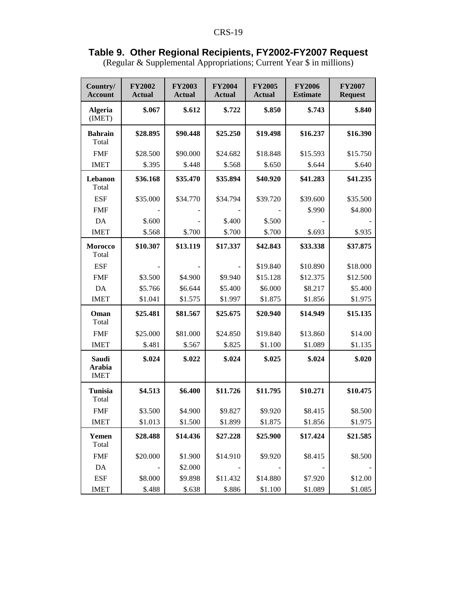#### **Table 9. Other Regional Recipients, FY2002-FY2007 Request**

(Regular & Supplemental Appropriations; Current Year \$ in millions)

| Country/<br><b>Account</b>            | <b>FY2002</b><br><b>Actual</b> | <b>FY2003</b><br><b>Actual</b> | <b>FY2004</b><br><b>Actual</b> | <b>FY2005</b><br><b>Actual</b> | <b>FY2006</b><br><b>Estimate</b> | <b>FY2007</b><br><b>Request</b> |
|---------------------------------------|--------------------------------|--------------------------------|--------------------------------|--------------------------------|----------------------------------|---------------------------------|
| <b>Algeria</b><br>(IMET)              | \$.067                         | \$.612                         | \$.722                         | \$.850                         | \$.743                           | \$.840                          |
| <b>Bahrain</b><br>Total               | \$28.895                       | \$90.448                       | \$25.250                       | \$19.498                       | \$16.237                         | \$16.390                        |
| <b>FMF</b>                            | \$28.500                       | \$90.000                       | \$24.682                       | \$18.848                       | \$15.593                         | \$15.750                        |
| <b>IMET</b>                           | \$.395                         | \$.448                         | \$.568                         | \$.650                         | \$.644                           | \$.640                          |
| Lebanon<br>Total                      | \$36.168                       | \$35.470                       | \$35.894                       | \$40.920                       | \$41.283                         | \$41.235                        |
| <b>ESF</b>                            | \$35.000                       | \$34.770                       | \$34.794                       | \$39.720                       | \$39.600                         | \$35.500                        |
| <b>FMF</b>                            |                                |                                |                                |                                | \$.990                           | \$4.800                         |
| DA                                    | \$.600                         |                                | \$.400                         | \$.500                         |                                  |                                 |
| <b>IMET</b>                           | \$.568                         | \$.700                         | \$.700                         | \$.700                         | \$.693                           | \$.935                          |
| <b>Morocco</b><br>Total               | \$10.307                       | \$13.119                       | \$17.337                       | \$42.843                       | \$33.338                         | \$37.875                        |
| <b>ESF</b>                            |                                |                                |                                | \$19.840                       | \$10.890                         | \$18.000                        |
| <b>FMF</b>                            | \$3.500                        | \$4.900                        | \$9.940                        | \$15.128                       | \$12.375                         | \$12.500                        |
| DA                                    | \$5.766                        | \$6.644                        | \$5.400                        | \$6.000                        | \$8.217                          | \$5.400                         |
| <b>IMET</b>                           | \$1.041                        | \$1.575                        | \$1.997                        | \$1.875                        | \$1.856                          | \$1.975                         |
| Oman<br>Total                         | \$25.481                       | \$81.567                       | \$25.675                       | \$20.940                       | \$14.949                         | \$15.135                        |
| <b>FMF</b>                            | \$25.000                       | \$81.000                       | \$24.850                       | \$19.840                       | \$13.860                         | \$14.00                         |
| <b>IMET</b>                           | \$.481                         | \$.567                         | \$.825                         | \$1.100                        | \$1.089                          | \$1.135                         |
| <b>Saudi</b><br>Arabia<br><b>IMET</b> | \$.024                         | \$.022                         | \$.024                         | \$.025                         | \$.024                           | \$.020                          |
| <b>Tunisia</b><br>Total               | \$4.513                        | \$6.400                        | \$11.726                       | \$11.795                       | \$10.271                         | \$10.475                        |
| <b>FMF</b>                            | \$3.500                        | \$4.900                        | \$9.827                        | \$9.920                        | \$8.415                          | \$8.500                         |
| <b>IMET</b>                           | \$1.013                        | \$1.500                        | \$1.899                        | \$1.875                        | \$1.856                          | \$1.975                         |
| Yemen<br>Total                        | \$28.488                       | \$14.436                       | \$27.228                       | \$25.900                       | \$17.424                         | \$21.585                        |
| <b>FMF</b>                            | \$20.000                       | \$1.900                        | \$14.910                       | \$9.920                        | \$8.415                          | \$8.500                         |
| DA                                    |                                | \$2.000                        |                                |                                |                                  |                                 |
| <b>ESF</b>                            | \$8.000                        | \$9.898                        | \$11.432                       | \$14.880                       | \$7.920                          | \$12.00                         |
| <b>IMET</b>                           | \$.488                         | \$.638                         | \$.886                         | \$1.100                        | \$1.089                          | \$1.085                         |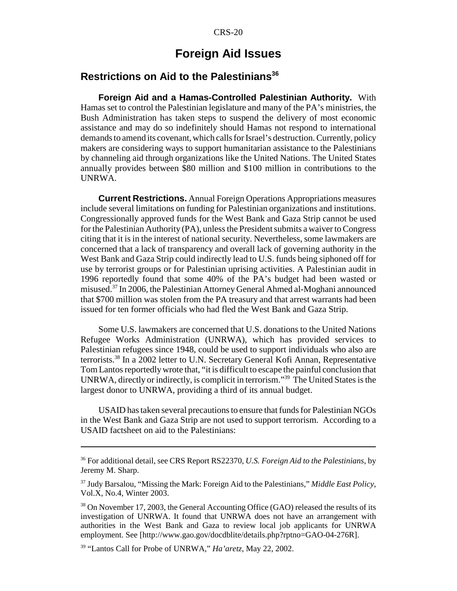### **Foreign Aid Issues**

### **Restrictions on Aid to the Palestinians<sup>36</sup>**

**Foreign Aid and a Hamas-Controlled Palestinian Authority.** With Hamas set to control the Palestinian legislature and many of the PA's ministries, the Bush Administration has taken steps to suspend the delivery of most economic assistance and may do so indefinitely should Hamas not respond to international demands to amend its covenant, which calls for Israel's destruction. Currently, policy makers are considering ways to support humanitarian assistance to the Palestinians by channeling aid through organizations like the United Nations. The United States annually provides between \$80 million and \$100 million in contributions to the UNRWA.

**Current Restrictions.** Annual Foreign Operations Appropriations measures include several limitations on funding for Palestinian organizations and institutions. Congressionally approved funds for the West Bank and Gaza Strip cannot be used for the Palestinian Authority (PA), unless the President submits a waiver to Congress citing that it is in the interest of national security. Nevertheless, some lawmakers are concerned that a lack of transparency and overall lack of governing authority in the West Bank and Gaza Strip could indirectly lead to U.S. funds being siphoned off for use by terrorist groups or for Palestinian uprising activities. A Palestinian audit in 1996 reportedly found that some 40% of the PA's budget had been wasted or misused.<sup>37</sup> In 2006, the Palestinian Attorney General Ahmed al-Moghani announced that \$700 million was stolen from the PA treasury and that arrest warrants had been issued for ten former officials who had fled the West Bank and Gaza Strip.

Some U.S. lawmakers are concerned that U.S. donations to the United Nations Refugee Works Administration (UNRWA), which has provided services to Palestinian refugees since 1948, could be used to support individuals who also are terrorists.38 In a 2002 letter to U.N. Secretary General Kofi Annan, Representative Tom Lantos reportedly wrote that, "it is difficult to escape the painful conclusion that UNRWA, directly or indirectly, is complicit in terrorism."39 The United States is the largest donor to UNRWA, providing a third of its annual budget.

USAID has taken several precautions to ensure that funds for Palestinian NGOs in the West Bank and Gaza Strip are not used to support terrorism. According to a USAID factsheet on aid to the Palestinians:

<sup>36</sup> For additional detail, see CRS Report RS22370, *U.S. Foreign Aid to the Palestinians*, by Jeremy M. Sharp.

<sup>37</sup> Judy Barsalou, "Missing the Mark: Foreign Aid to the Palestinians," *Middle East Policy*, Vol.X, No.4, Winter 2003.

<sup>&</sup>lt;sup>38</sup> On November 17, 2003, the General Accounting Office (GAO) released the results of its investigation of UNRWA. It found that UNRWA does not have an arrangement with authorities in the West Bank and Gaza to review local job applicants for UNRWA employment. See [http://www.gao.gov/docdblite/details.php?rptno=GAO-04-276R].

<sup>39 &</sup>quot;Lantos Call for Probe of UNRWA," *Ha'aretz*, May 22, 2002.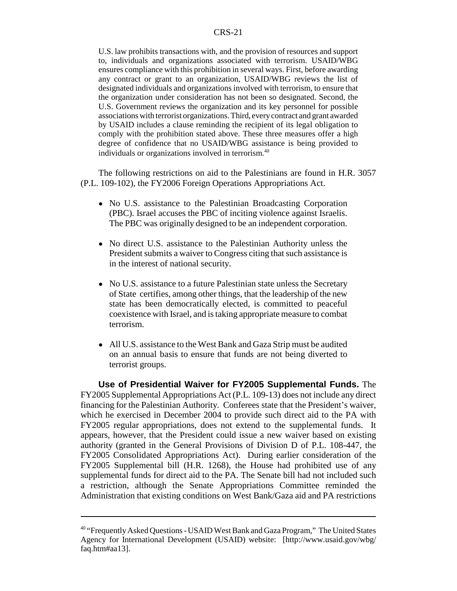#### CRS-21

U.S. law prohibits transactions with, and the provision of resources and support to, individuals and organizations associated with terrorism. USAID/WBG ensures compliance with this prohibition in several ways. First, before awarding any contract or grant to an organization, USAID/WBG reviews the list of designated individuals and organizations involved with terrorism, to ensure that the organization under consideration has not been so designated. Second, the U.S. Government reviews the organization and its key personnel for possible associations with terrorist organizations. Third, every contract and grant awarded by USAID includes a clause reminding the recipient of its legal obligation to comply with the prohibition stated above. These three measures offer a high degree of confidence that no USAID/WBG assistance is being provided to individuals or organizations involved in terrorism.40

The following restrictions on aid to the Palestinians are found in H.R. 3057 (P.L. 109-102), the FY2006 Foreign Operations Appropriations Act.

- No U.S. assistance to the Palestinian Broadcasting Corporation (PBC). Israel accuses the PBC of inciting violence against Israelis. The PBC was originally designed to be an independent corporation.
- No direct U.S. assistance to the Palestinian Authority unless the President submits a waiver to Congress citing that such assistance is in the interest of national security.
- No U.S. assistance to a future Palestinian state unless the Secretary of State certifies, among other things, that the leadership of the new state has been democratically elected, is committed to peaceful coexistence with Israel, and is taking appropriate measure to combat terrorism.
- All U.S. assistance to the West Bank and Gaza Strip must be audited on an annual basis to ensure that funds are not being diverted to terrorist groups.

**Use of Presidential Waiver for FY2005 Supplemental Funds.** The FY2005 Supplemental Appropriations Act (P.L. 109-13) does not include any direct financing for the Palestinian Authority. Conferees state that the President's waiver, which he exercised in December 2004 to provide such direct aid to the PA with FY2005 regular appropriations, does not extend to the supplemental funds. It appears, however, that the President could issue a new waiver based on existing authority (granted in the General Provisions of Division D of P.L. 108-447, the FY2005 Consolidated Appropriations Act). During earlier consideration of the FY2005 Supplemental bill (H.R. 1268), the House had prohibited use of any supplemental funds for direct aid to the PA. The Senate bill had not included such a restriction, although the Senate Appropriations Committee reminded the Administration that existing conditions on West Bank/Gaza aid and PA restrictions

<sup>&</sup>lt;sup>40</sup> "Frequently Asked Questions - USAID West Bank and Gaza Program," The United States Agency for International Development (USAID) website: [http://www.usaid.gov/wbg/ faq.htm#aa13].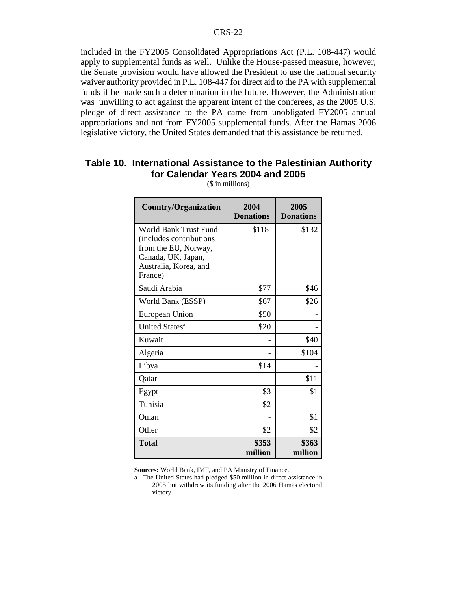included in the FY2005 Consolidated Appropriations Act (P.L. 108-447) would apply to supplemental funds as well. Unlike the House-passed measure, however, the Senate provision would have allowed the President to use the national security waiver authority provided in P.L. 108-447 for direct aid to the PA with supplemental funds if he made such a determination in the future. However, the Administration was unwilling to act against the apparent intent of the conferees, as the 2005 U.S. pledge of direct assistance to the PA came from unobligated FY2005 annual appropriations and not from FY2005 supplemental funds. After the Hamas 2006 legislative victory, the United States demanded that this assistance be returned.

### **Table 10. International Assistance to the Palestinian Authority for Calendar Years 2004 and 2005**

| <b>Country/Organization</b>                                                                                                                | 2004<br><b>Donations</b> | 2005<br><b>Donations</b> |
|--------------------------------------------------------------------------------------------------------------------------------------------|--------------------------|--------------------------|
| <b>World Bank Trust Fund</b><br>(includes contributions)<br>from the EU, Norway,<br>Canada, UK, Japan,<br>Australia, Korea, and<br>France) | \$118                    | \$132                    |
| Saudi Arabia                                                                                                                               | \$77                     | \$46                     |
| World Bank (ESSP)                                                                                                                          | \$67                     | \$26                     |
| European Union                                                                                                                             | \$50                     |                          |
| United States <sup>a</sup>                                                                                                                 | \$20                     |                          |
| Kuwait                                                                                                                                     |                          | \$40                     |
| Algeria                                                                                                                                    |                          | \$104                    |
| Libya                                                                                                                                      | \$14                     |                          |
| Qatar                                                                                                                                      |                          | \$11                     |
| Egypt                                                                                                                                      | \$3                      | \$1                      |
| Tunisia                                                                                                                                    | \$2                      |                          |
| Oman                                                                                                                                       |                          | \$1                      |
| Other                                                                                                                                      | \$2                      | \$2                      |
| Total                                                                                                                                      | \$353<br>million         | \$363<br>million         |

(\$ in millions)

**Sources:** World Bank, IMF, and PA Ministry of Finance.

a. The United States had pledged \$50 million in direct assistance in 2005 but withdrew its funding after the 2006 Hamas electoral victory.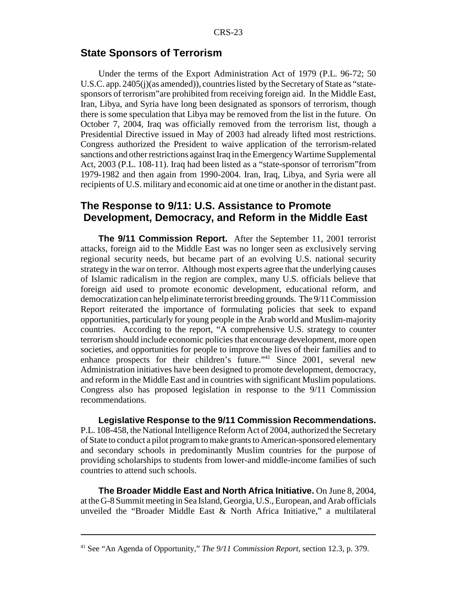#### **State Sponsors of Terrorism**

Under the terms of the Export Administration Act of 1979 (P.L. 96-72; 50 U.S.C. app. 2405(j)(as amended)), countries listed by the Secretary of State as "statesponsors of terrorism"are prohibited from receiving foreign aid. In the Middle East, Iran, Libya, and Syria have long been designated as sponsors of terrorism, though there is some speculation that Libya may be removed from the list in the future. On October 7, 2004, Iraq was officially removed from the terrorism list, though a Presidential Directive issued in May of 2003 had already lifted most restrictions. Congress authorized the President to waive application of the terrorism-related sanctions and other restrictions against Iraq in the Emergency Wartime Supplemental Act, 2003 (P.L. 108-11). Iraq had been listed as a "state-sponsor of terrorism"from 1979-1982 and then again from 1990-2004. Iran, Iraq, Libya, and Syria were all recipients of U.S. military and economic aid at one time or another in the distant past.

### **The Response to 9/11: U.S. Assistance to Promote Development, Democracy, and Reform in the Middle East**

**The 9/11 Commission Report.** After the September 11, 2001 terrorist attacks, foreign aid to the Middle East was no longer seen as exclusively serving regional security needs, but became part of an evolving U.S. national security strategy in the war on terror. Although most experts agree that the underlying causes of Islamic radicalism in the region are complex, many U.S. officials believe that foreign aid used to promote economic development, educational reform, and democratization can help eliminate terrorist breeding grounds. The 9/11 Commission Report reiterated the importance of formulating policies that seek to expand opportunities, particularly for young people in the Arab world and Muslim-majority countries. According to the report, "A comprehensive U.S. strategy to counter terrorism should include economic policies that encourage development, more open societies, and opportunities for people to improve the lives of their families and to enhance prospects for their children's future."<sup>41</sup> Since 2001, several new Administration initiatives have been designed to promote development, democracy, and reform in the Middle East and in countries with significant Muslim populations. Congress also has proposed legislation in response to the 9/11 Commission recommendations.

**Legislative Response to the 9/11 Commission Recommendations.** P.L. 108-458, the National Intelligence Reform Act of 2004, authorized the Secretary of State to conduct a pilot program to make grants to American-sponsored elementary and secondary schools in predominantly Muslim countries for the purpose of providing scholarships to students from lower-and middle-income families of such countries to attend such schools.

**The Broader Middle East and North Africa Initiative.** On June 8, 2004, at the G-8 Summit meeting in Sea Island, Georgia, U.S., European, and Arab officials unveiled the "Broader Middle East & North Africa Initiative," a multilateral

<sup>41</sup> See "An Agenda of Opportunity," *The 9/11 Commission Report*, section 12.3, p. 379.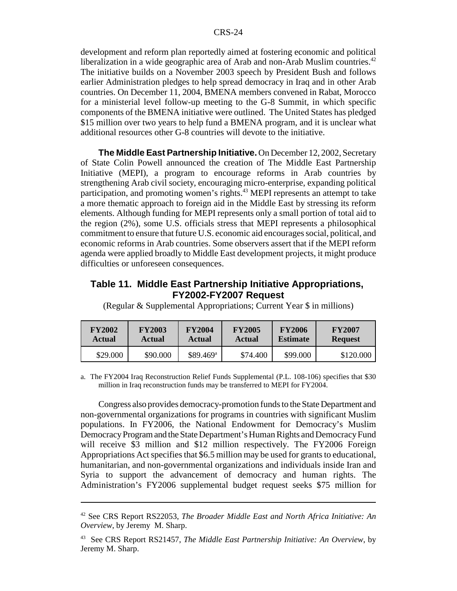development and reform plan reportedly aimed at fostering economic and political liberalization in a wide geographic area of Arab and non-Arab Muslim countries.<sup>42</sup> The initiative builds on a November 2003 speech by President Bush and follows earlier Administration pledges to help spread democracy in Iraq and in other Arab countries. On December 11, 2004, BMENA members convened in Rabat, Morocco for a ministerial level follow-up meeting to the G-8 Summit, in which specific components of the BMENA initiative were outlined. The United States has pledged \$15 million over two years to help fund a BMENA program, and it is unclear what additional resources other G-8 countries will devote to the initiative.

**The Middle East Partnership Initiative.** On December 12, 2002, Secretary of State Colin Powell announced the creation of The Middle East Partnership Initiative (MEPI), a program to encourage reforms in Arab countries by strengthening Arab civil society, encouraging micro-enterprise, expanding political participation, and promoting women's rights.<sup>43</sup> MEPI represents an attempt to take a more thematic approach to foreign aid in the Middle East by stressing its reform elements. Although funding for MEPI represents only a small portion of total aid to the region (2%), some U.S. officials stress that MEPI represents a philosophical commitment to ensure that future U.S. economic aid encourages social, political, and economic reforms in Arab countries. Some observers assert that if the MEPI reform agenda were applied broadly to Middle East development projects, it might produce difficulties or unforeseen consequences.

#### **Table 11. Middle East Partnership Initiative Appropriations, FY2002-FY2007 Request**

| <b>FY2002</b> | <b>FY2003</b> | <b>FY2004</b>          | <b>FY2005</b> | <b>FY2006</b>   | <b>FY2007</b>  |
|---------------|---------------|------------------------|---------------|-----------------|----------------|
| <b>Actual</b> | <b>Actual</b> | <b>Actual</b>          | <b>Actual</b> | <b>Estimate</b> | <b>Request</b> |
| \$29.000      | \$90.000      | $$89.469$ <sup>a</sup> | \$74.400      | \$99.000        | \$120.000      |

(Regular & Supplemental Appropriations; Current Year \$ in millions)

a. The FY2004 Iraq Reconstruction Relief Funds Supplemental (P.L. 108-106) specifies that \$30 million in Iraq reconstruction funds may be transferred to MEPI for FY2004.

Congress also provides democracy-promotion funds to the State Department and non-governmental organizations for programs in countries with significant Muslim populations. In FY2006, the National Endowment for Democracy's Muslim Democracy Program and the State Department's Human Rights and Democracy Fund will receive \$3 million and \$12 million respectively. The FY2006 Foreign Appropriations Act specifies that \$6.5 million may be used for grants to educational, humanitarian, and non-governmental organizations and individuals inside Iran and Syria to support the advancement of democracy and human rights. The Administration's FY2006 supplemental budget request seeks \$75 million for

<sup>42</sup> See CRS Report RS22053, *The Broader Middle East and North Africa Initiative: An Overview*, by Jeremy M. Sharp.

<sup>43</sup> See CRS Report RS21457, *The Middle East Partnership Initiative: An Overview*, by Jeremy M. Sharp.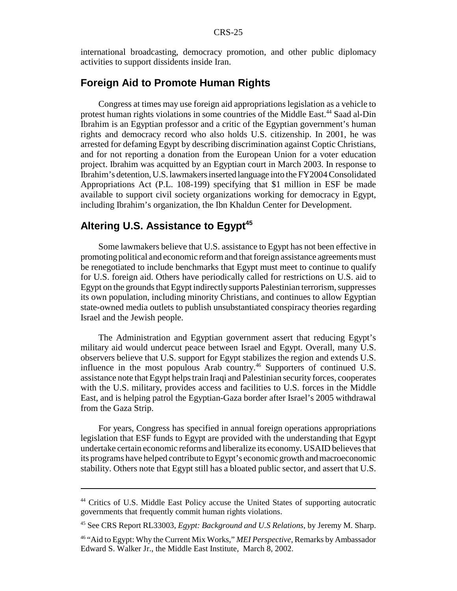international broadcasting, democracy promotion, and other public diplomacy activities to support dissidents inside Iran.

### **Foreign Aid to Promote Human Rights**

Congress at times may use foreign aid appropriations legislation as a vehicle to protest human rights violations in some countries of the Middle East.<sup>44</sup> Saad al-Din Ibrahim is an Egyptian professor and a critic of the Egyptian government's human rights and democracy record who also holds U.S. citizenship. In 2001, he was arrested for defaming Egypt by describing discrimination against Coptic Christians, and for not reporting a donation from the European Union for a voter education project. Ibrahim was acquitted by an Egyptian court in March 2003. In response to Ibrahim's detention, U.S. lawmakers inserted language into the FY2004 Consolidated Appropriations Act (P.L. 108-199) specifying that \$1 million in ESF be made available to support civil society organizations working for democracy in Egypt, including Ibrahim's organization, the Ibn Khaldun Center for Development.

### Altering U.S. Assistance to Egypt<sup>45</sup>

Some lawmakers believe that U.S. assistance to Egypt has not been effective in promoting political and economic reform and that foreign assistance agreements must be renegotiated to include benchmarks that Egypt must meet to continue to qualify for U.S. foreign aid. Others have periodically called for restrictions on U.S. aid to Egypt on the grounds that Egypt indirectly supports Palestinian terrorism, suppresses its own population, including minority Christians, and continues to allow Egyptian state-owned media outlets to publish unsubstantiated conspiracy theories regarding Israel and the Jewish people.

The Administration and Egyptian government assert that reducing Egypt's military aid would undercut peace between Israel and Egypt. Overall, many U.S. observers believe that U.S. support for Egypt stabilizes the region and extends U.S. influence in the most populous Arab country.<sup>46</sup> Supporters of continued U.S. assistance note that Egypt helps train Iraqi and Palestinian security forces, cooperates with the U.S. military, provides access and facilities to U.S. forces in the Middle East, and is helping patrol the Egyptian-Gaza border after Israel's 2005 withdrawal from the Gaza Strip.

For years, Congress has specified in annual foreign operations appropriations legislation that ESF funds to Egypt are provided with the understanding that Egypt undertake certain economic reforms and liberalize its economy. USAID believes that its programs have helped contribute to Egypt's economic growth and macroeconomic stability. Others note that Egypt still has a bloated public sector, and assert that U.S.

<sup>44</sup> Critics of U.S. Middle East Policy accuse the United States of supporting autocratic governments that frequently commit human rights violations.

<sup>45</sup> See CRS Report RL33003, *Egypt: Background and U.S Relations*, by Jeremy M. Sharp.

<sup>46 &</sup>quot;Aid to Egypt: Why the Current Mix Works," *MEI Perspective*, Remarks by Ambassador Edward S. Walker Jr., the Middle East Institute, March 8, 2002.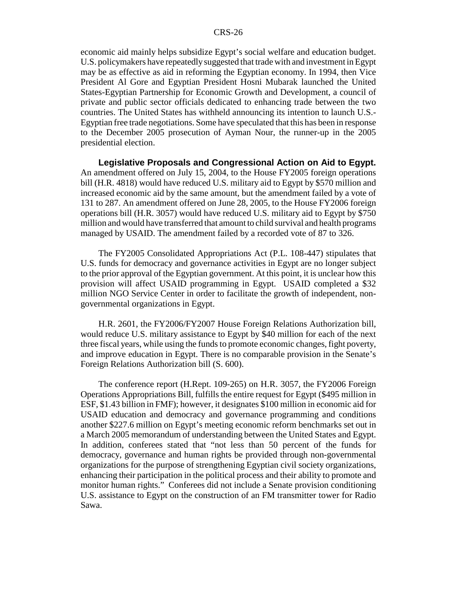economic aid mainly helps subsidize Egypt's social welfare and education budget. U.S. policymakers have repeatedly suggested that trade with and investment in Egypt may be as effective as aid in reforming the Egyptian economy. In 1994, then Vice President Al Gore and Egyptian President Hosni Mubarak launched the United States-Egyptian Partnership for Economic Growth and Development, a council of private and public sector officials dedicated to enhancing trade between the two countries. The United States has withheld announcing its intention to launch U.S.- Egyptian free trade negotiations. Some have speculated that this has been in response to the December 2005 prosecution of Ayman Nour, the runner-up in the 2005 presidential election.

**Legislative Proposals and Congressional Action on Aid to Egypt.** An amendment offered on July 15, 2004, to the House FY2005 foreign operations bill (H.R. 4818) would have reduced U.S. military aid to Egypt by \$570 million and increased economic aid by the same amount, but the amendment failed by a vote of 131 to 287. An amendment offered on June 28, 2005, to the House FY2006 foreign operations bill (H.R. 3057) would have reduced U.S. military aid to Egypt by \$750 million and would have transferred that amount to child survival and health programs managed by USAID. The amendment failed by a recorded vote of 87 to 326.

The FY2005 Consolidated Appropriations Act (P.L. 108-447) stipulates that U.S. funds for democracy and governance activities in Egypt are no longer subject to the prior approval of the Egyptian government. At this point, it is unclear how this provision will affect USAID programming in Egypt. USAID completed a \$32 million NGO Service Center in order to facilitate the growth of independent, nongovernmental organizations in Egypt.

H.R. 2601, the FY2006/FY2007 House Foreign Relations Authorization bill, would reduce U.S. military assistance to Egypt by \$40 million for each of the next three fiscal years, while using the funds to promote economic changes, fight poverty, and improve education in Egypt. There is no comparable provision in the Senate's Foreign Relations Authorization bill (S. 600).

The conference report (H.Rept. 109-265) on H.R. 3057, the FY2006 Foreign Operations Appropriations Bill, fulfills the entire request for Egypt (\$495 million in ESF, \$1.43 billion in FMF); however, it designates \$100 million in economic aid for USAID education and democracy and governance programming and conditions another \$227.6 million on Egypt's meeting economic reform benchmarks set out in a March 2005 memorandum of understanding between the United States and Egypt. In addition, conferees stated that "not less than 50 percent of the funds for democracy, governance and human rights be provided through non-governmental organizations for the purpose of strengthening Egyptian civil society organizations, enhancing their participation in the political process and their ability to promote and monitor human rights." Conferees did not include a Senate provision conditioning U.S. assistance to Egypt on the construction of an FM transmitter tower for Radio Sawa.